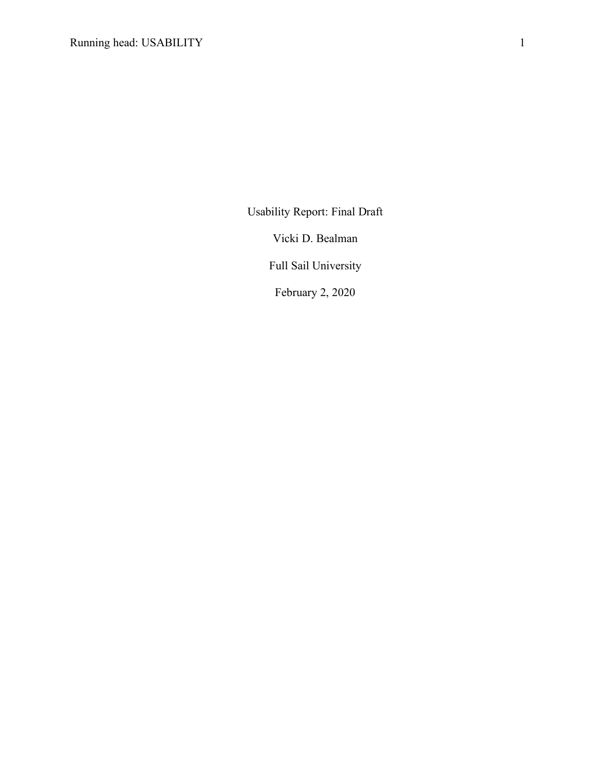Usability Report: Final Draft

Vicki D. Bealman

Full Sail University

February 2, 2020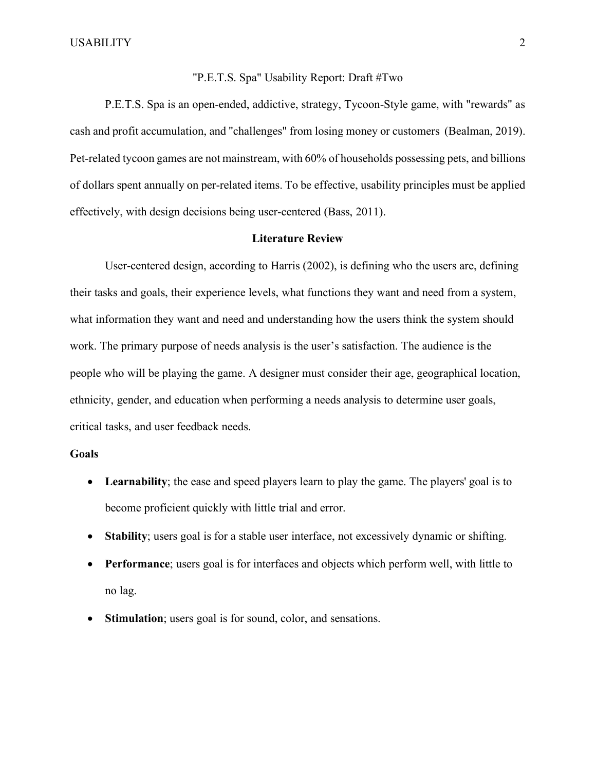### "P.E.T.S. Spa" Usability Report: Draft #Two

P.E.T.S. Spa is an open-ended, addictive, strategy, Tycoon-Style game, with "rewards" as cash and profit accumulation, and "challenges" from losing money or customers (Bealman, 2019). Pet-related tycoon games are not mainstream, with 60% of households possessing pets, and billions of dollars spent annually on per-related items. To be effective, usability principles must be applied effectively, with design decisions being user-centered (Bass, 2011).

#### **Literature Review**

User-centered design, according to Harris (2002), is defining who the users are, defining their tasks and goals, their experience levels, what functions they want and need from a system, what information they want and need and understanding how the users think the system should work. The primary purpose of needs analysis is the user's satisfaction. The audience is the people who will be playing the game. A designer must consider their age, geographical location, ethnicity, gender, and education when performing a needs analysis to determine user goals, critical tasks, and user feedback needs.

#### **Goals**

- Learnability; the ease and speed players learn to play the game. The players' goal is to become proficient quickly with little trial and error.
- **Stability**; users goal is for a stable user interface, not excessively dynamic or shifting.
- **Performance**; users goal is for interfaces and objects which perform well, with little to no lag.
- **Stimulation**; users goal is for sound, color, and sensations.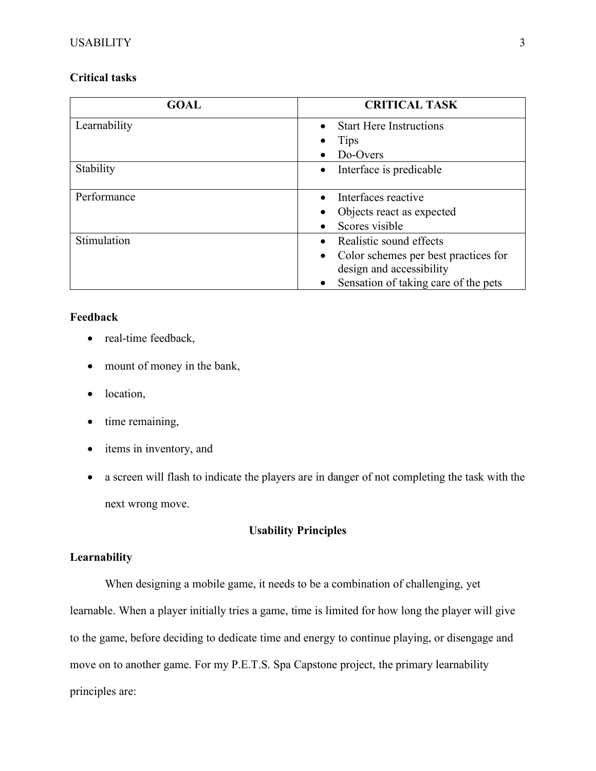## **Critical tasks**

| <b>GOAL</b>  | <b>CRITICAL TASK</b>                              |
|--------------|---------------------------------------------------|
| Learnability | <b>Start Here Instructions</b>                    |
|              | Tips                                              |
|              | Do-Overs                                          |
| Stability    | Interface is predicable<br>$\bullet$              |
| Performance  | Interfaces reactive                               |
|              | Objects react as expected                         |
|              | Scores visible<br>$\bullet$                       |
| Stimulation  | Realistic sound effects<br>$\bullet$              |
|              | Color schemes per best practices for<br>$\bullet$ |
|              | design and accessibility                          |
|              | Sensation of taking care of the pets<br>$\bullet$ |

## **Feedback**

- real-time feedback,
- mount of money in the bank,
- location,
- time remaining,
- items in inventory, and
- a screen will flash to indicate the players are in danger of not completing the task with the next wrong move.

## **Usability Principles**

## **Learnability**

When designing a mobile game, it needs to be a combination of challenging, yet learnable. When a player initially tries a game, time is limited for how long the player will give to the game, before deciding to dedicate time and energy to continue playing, or disengage and move on to another game. For my P.E.T.S. Spa Capstone project, the primary learnability principles are: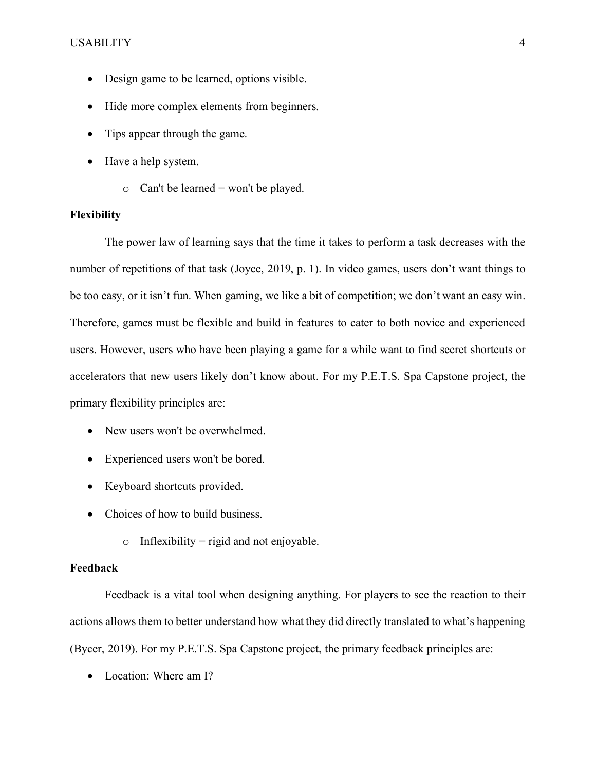#### USABILITY 4

- Design game to be learned, options visible.
- Hide more complex elements from beginners.
- Tips appear through the game.
- Have a help system.
	- $\circ$  Can't be learned = won't be played.

### **Flexibility**

The power law of learning says that the time it takes to perform a task decreases with the number of repetitions of that task (Joyce, 2019, p. 1). In video games, users don't want things to be too easy, or it isn't fun. When gaming, we like a bit of competition; we don't want an easy win. Therefore, games must be flexible and build in features to cater to both novice and experienced users. However, users who have been playing a game for a while want to find secret shortcuts or accelerators that new users likely don't know about. For my P.E.T.S. Spa Capstone project, the primary flexibility principles are:

- New users won't be overwhelmed.
- Experienced users won't be bored.
- Keyboard shortcuts provided.
- Choices of how to build business.
	- $\circ$  Inflexibility = rigid and not enjoyable.

### **Feedback**

Feedback is a vital tool when designing anything. For players to see the reaction to their actions allows them to better understand how what they did directly translated to what's happening (Bycer, 2019). For my P.E.T.S. Spa Capstone project, the primary feedback principles are:

• Location: Where am I?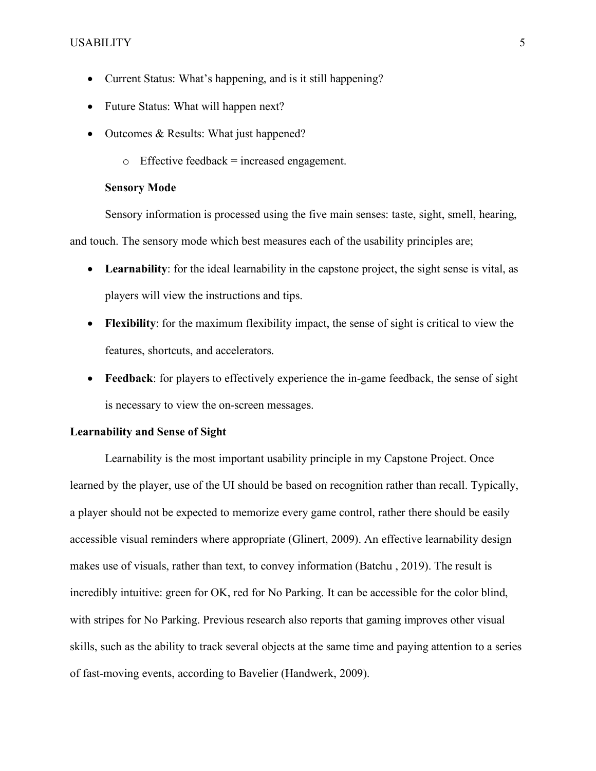- Current Status: What's happening, and is it still happening?
- Future Status: What will happen next?
- Outcomes & Results: What just happened?
	- $\circ$  Effective feedback = increased engagement.

#### **Sensory Mode**

Sensory information is processed using the five main senses: taste, sight, smell, hearing, and touch. The sensory mode which best measures each of the usability principles are;

- **Learnability**: for the ideal learnability in the capstone project, the sight sense is vital, as players will view the instructions and tips.
- **Flexibility**: for the maximum flexibility impact, the sense of sight is critical to view the features, shortcuts, and accelerators.
- **Feedback**: for players to effectively experience the in-game feedback, the sense of sight is necessary to view the on-screen messages.

#### **Learnability and Sense of Sight**

Learnability is the most important usability principle in my Capstone Project. Once learned by the player, use of the UI should be based on recognition rather than recall. Typically, a player should not be expected to memorize every game control, rather there should be easily accessible visual reminders where appropriate (Glinert, 2009). An effective learnability design makes use of visuals, rather than text, to convey information (Batchu , 2019). The result is incredibly intuitive: green for OK, red for No Parking. It can be accessible for the color blind, with stripes for No Parking. Previous research also reports that gaming improves other visual skills, such as the ability to track several objects at the same time and paying attention to a series of fast-moving events, according to Bavelier (Handwerk, 2009).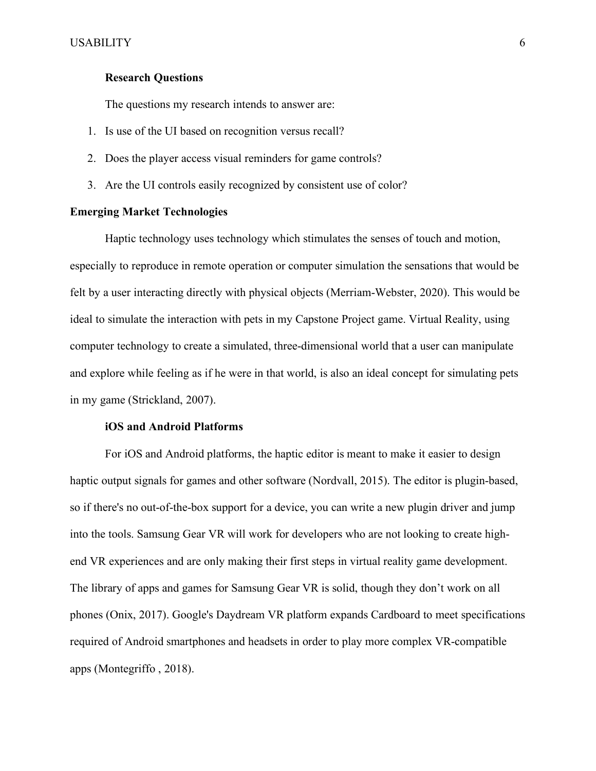### **Research Questions**

The questions my research intends to answer are:

- 1. Is use of the UI based on recognition versus recall?
- 2. Does the player access visual reminders for game controls?
- 3. Are the UI controls easily recognized by consistent use of color?

#### **Emerging Market Technologies**

Haptic technology uses technology which stimulates the senses of touch and motion, especially to reproduce in remote operation or computer simulation the sensations that would be felt by a user interacting directly with physical objects (Merriam-Webster, 2020). This would be ideal to simulate the interaction with pets in my Capstone Project game. Virtual Reality, using computer technology to create a simulated, three-dimensional world that a user can manipulate and explore while feeling as if he were in that world, is also an ideal concept for simulating pets in my game (Strickland, 2007).

#### **iOS and Android Platforms**

For iOS and Android platforms, the haptic editor is meant to make it easier to design haptic output signals for games and other software (Nordvall, 2015). The editor is plugin-based, so if there's no out-of-the-box support for a device, you can write a new plugin driver and jump into the tools. Samsung Gear VR will work for developers who are not looking to create highend VR experiences and are only making their first steps in virtual reality game development. The library of apps and games for Samsung Gear VR is solid, though they don't work on all phones (Onix, 2017). Google's Daydream VR platform expands Cardboard to meet specifications required of Android smartphones and headsets in order to play more complex VR-compatible apps (Montegriffo , 2018).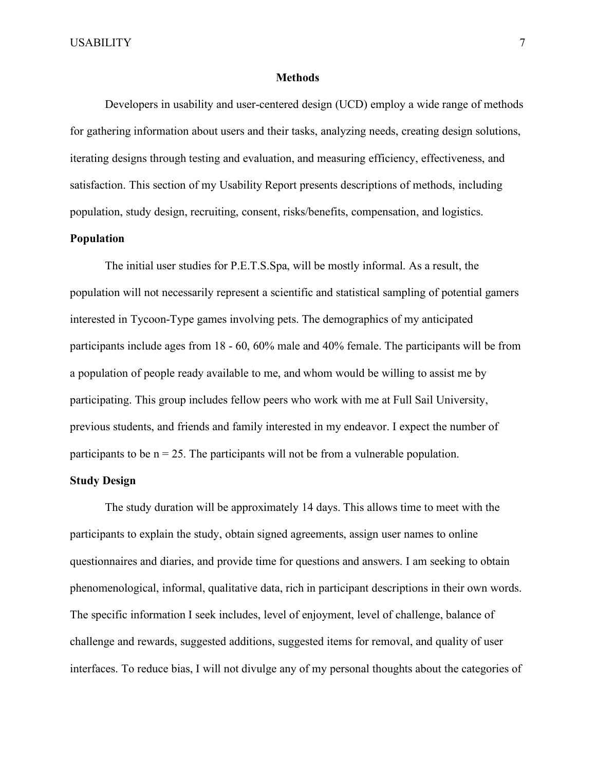#### **Methods**

Developers in usability and user-centered design (UCD) employ a wide range of methods for gathering information about users and their tasks, analyzing needs, creating design solutions, iterating designs through testing and evaluation, and measuring efficiency, effectiveness, and satisfaction. This section of my Usability Report presents descriptions of methods, including population, study design, recruiting, consent, risks/benefits, compensation, and logistics.

#### **Population**

The initial user studies for P.E.T.S.Spa, will be mostly informal. As a result, the population will not necessarily represent a scientific and statistical sampling of potential gamers interested in Tycoon-Type games involving pets. The demographics of my anticipated participants include ages from 18 - 60, 60% male and 40% female. The participants will be from a population of people ready available to me, and whom would be willing to assist me by participating. This group includes fellow peers who work with me at Full Sail University, previous students, and friends and family interested in my endeavor. I expect the number of participants to be  $n = 25$ . The participants will not be from a vulnerable population.

#### **Study Design**

The study duration will be approximately 14 days. This allows time to meet with the participants to explain the study, obtain signed agreements, assign user names to online questionnaires and diaries, and provide time for questions and answers. I am seeking to obtain phenomenological, informal, qualitative data, rich in participant descriptions in their own words. The specific information I seek includes, level of enjoyment, level of challenge, balance of challenge and rewards, suggested additions, suggested items for removal, and quality of user interfaces. To reduce bias, I will not divulge any of my personal thoughts about the categories of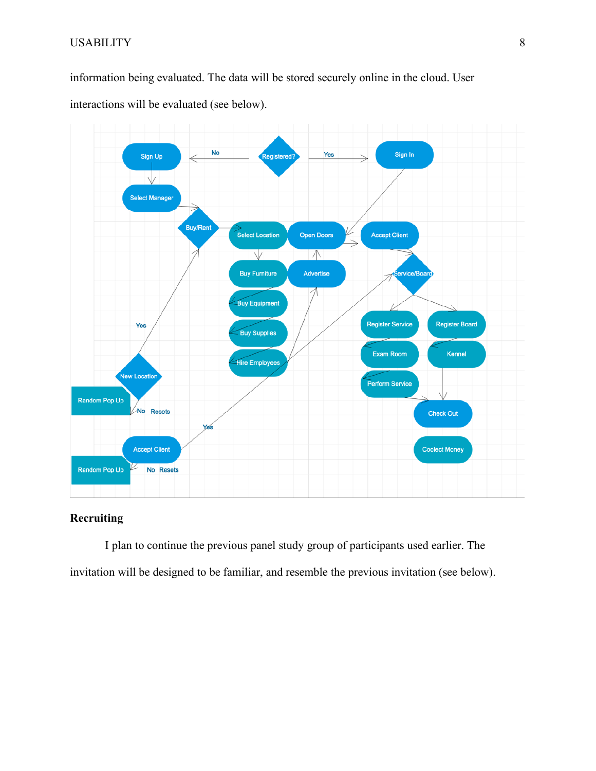## USABILITY 8

information being evaluated. The data will be stored securely online in the cloud. User interactions will be evaluated (see below).



## **Recruiting**

I plan to continue the previous panel study group of participants used earlier. The invitation will be designed to be familiar, and resemble the previous invitation (see below).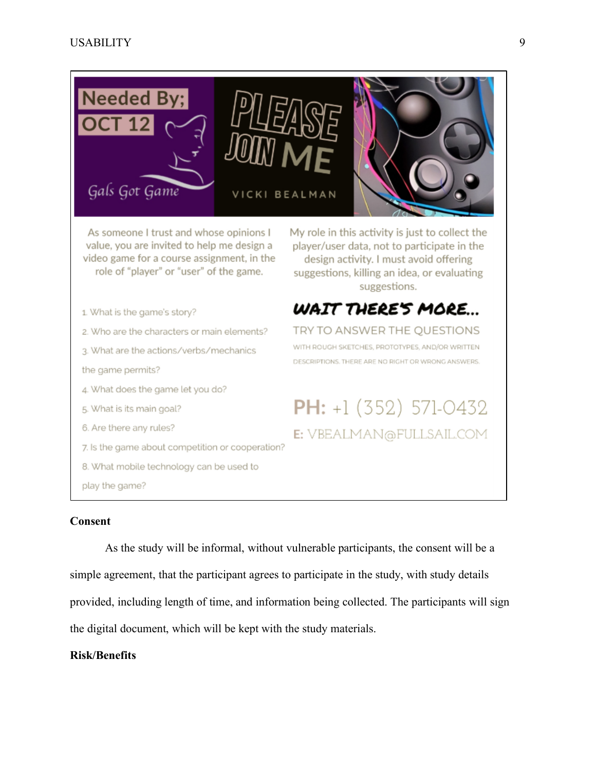

As someone I trust and whose opinions I value, you are invited to help me design a video game for a course assignment, in the role of "player" or "user" of the game.

1. What is the game's story?

2. Who are the characters or main elements?

3. What are the actions/verbs/mechanics

the game permits?

4. What does the game let you do?

5. What is its main goal?

6. Are there any rules?

7. Is the game about competition or cooperation?

8. What mobile technology can be used to

play the game?

**Consent**

As the study will be informal, without vulnerable participants, the consent will be a simple agreement, that the participant agrees to participate in the study, with study details provided, including length of time, and information being collected. The participants will sign the digital document, which will be kept with the study materials.

### **Risk/Benefits**

My role in this activity is just to collect the player/user data, not to participate in the design activity. I must avoid offering suggestions, killing an idea, or evaluating suggestions.



TRY TO ANSWER THE QUESTIONS WITH ROUGH SKETCHES, PROTOTYPES, AND/OR WRITTEN DESCRIPTIONS. THERE ARE NO RIGHT OR WRONG ANSWERS.

PH:  $+1(352)$  571-0432 E: VBEALMAN@FULLSAIL.COM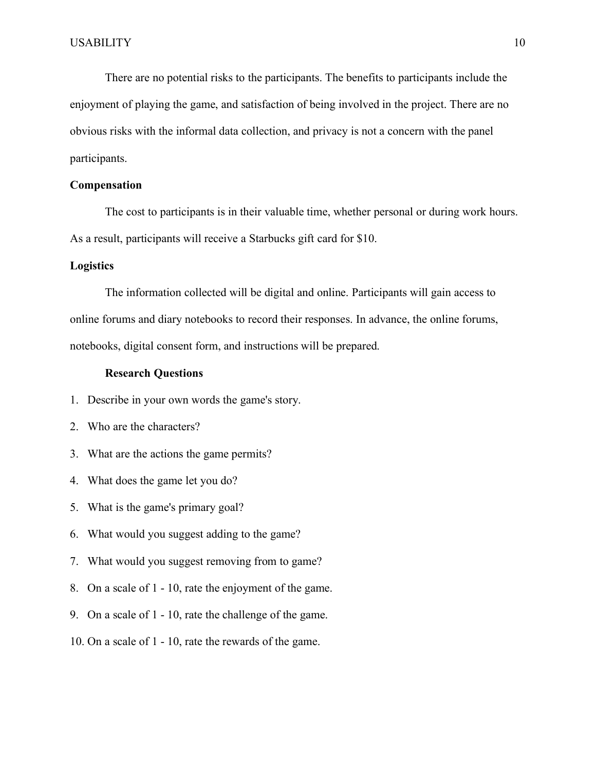There are no potential risks to the participants. The benefits to participants include the enjoyment of playing the game, and satisfaction of being involved in the project. There are no obvious risks with the informal data collection, and privacy is not a concern with the panel participants.

### **Compensation**

The cost to participants is in their valuable time, whether personal or during work hours. As a result, participants will receive a Starbucks gift card for \$10.

#### **Logistics**

The information collected will be digital and online. Participants will gain access to online forums and diary notebooks to record their responses. In advance, the online forums, notebooks, digital consent form, and instructions will be prepared.

#### **Research Questions**

- 1. Describe in your own words the game's story.
- 2. Who are the characters?
- 3. What are the actions the game permits?
- 4. What does the game let you do?
- 5. What is the game's primary goal?
- 6. What would you suggest adding to the game?
- 7. What would you suggest removing from to game?
- 8. On a scale of 1 10, rate the enjoyment of the game.
- 9. On a scale of 1 10, rate the challenge of the game.
- 10. On a scale of 1 10, rate the rewards of the game.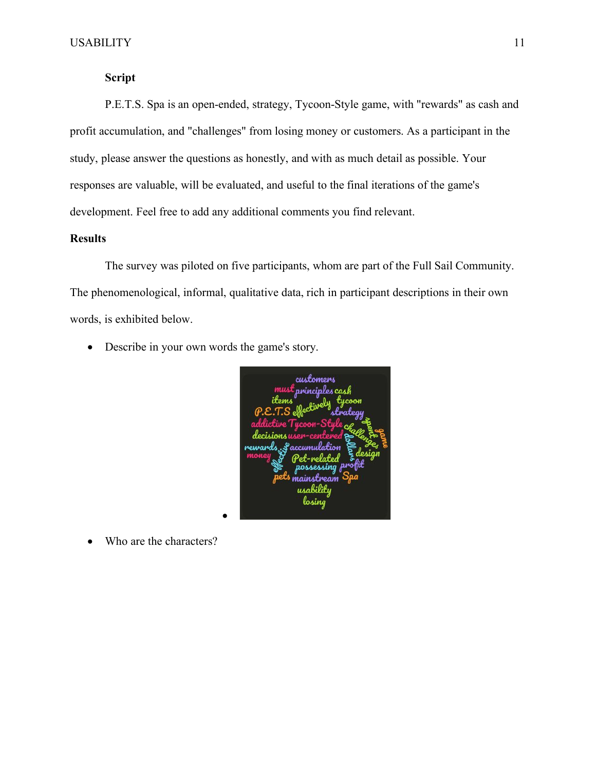## **Script**

P.E.T.S. Spa is an open-ended, strategy, Tycoon-Style game, with "rewards" as cash and profit accumulation, and "challenges" from losing money or customers. As a participant in the study, please answer the questions as honestly, and with as much detail as possible. Your responses are valuable, will be evaluated, and useful to the final iterations of the game's development. Feel free to add any additional comments you find relevant.

### **Results**

The survey was piloted on five participants, whom are part of the Full Sail Community. The phenomenological, informal, qualitative data, rich in participant descriptions in their own words, is exhibited below.

• Describe in your own words the game's story.

•

customers principles co ,<br>nainn

• Who are the characters?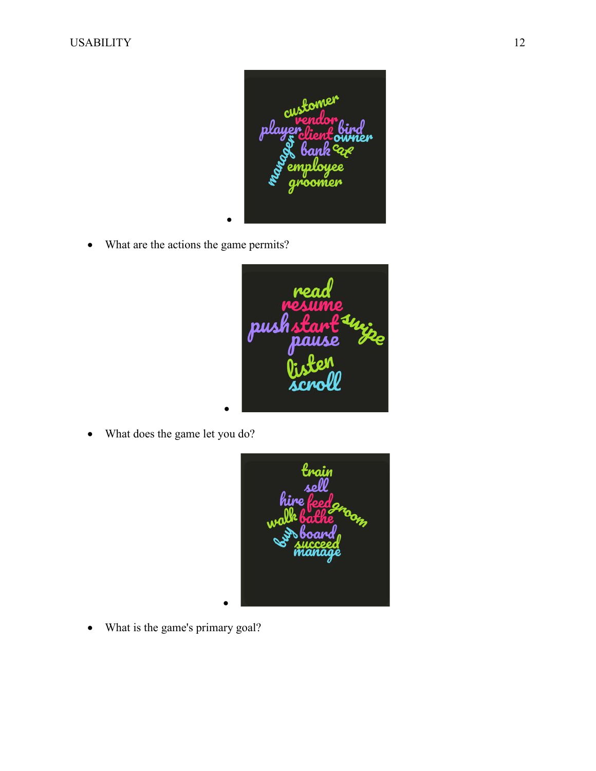

• What are the actions the game permits?



• What does the game let you do?



• What is the game's primary goal?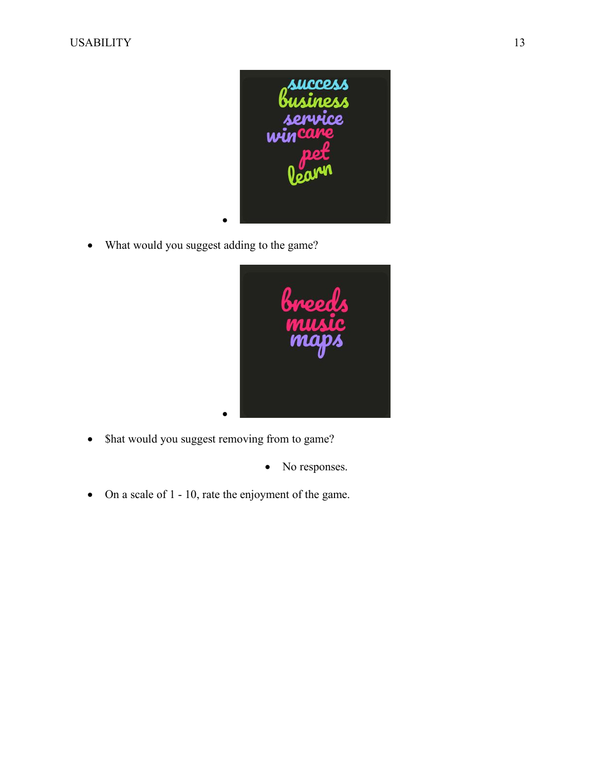

• What would you suggest adding to the game?



- Shat would you suggest removing from to game?
	- No responses.
- On a scale of 1 10, rate the enjoyment of the game.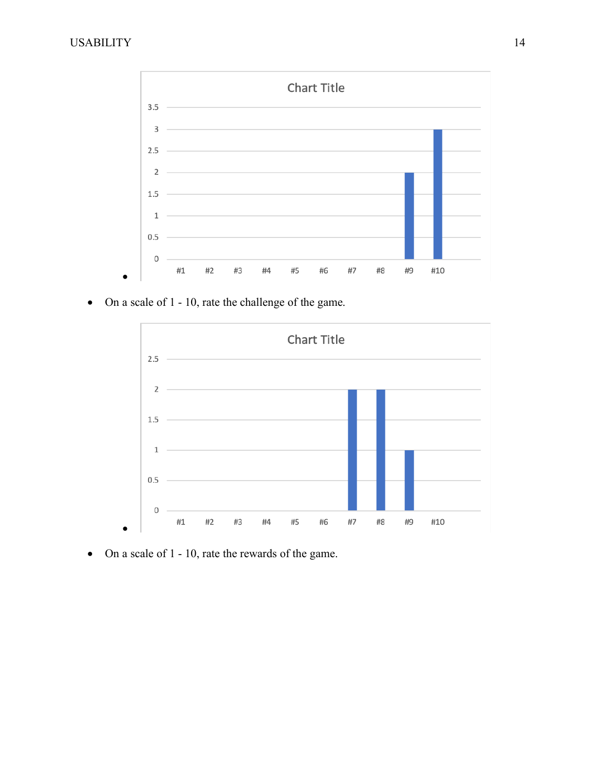

• On a scale of 1 - 10, rate the challenge of the game.



• On a scale of 1 - 10, rate the rewards of the game.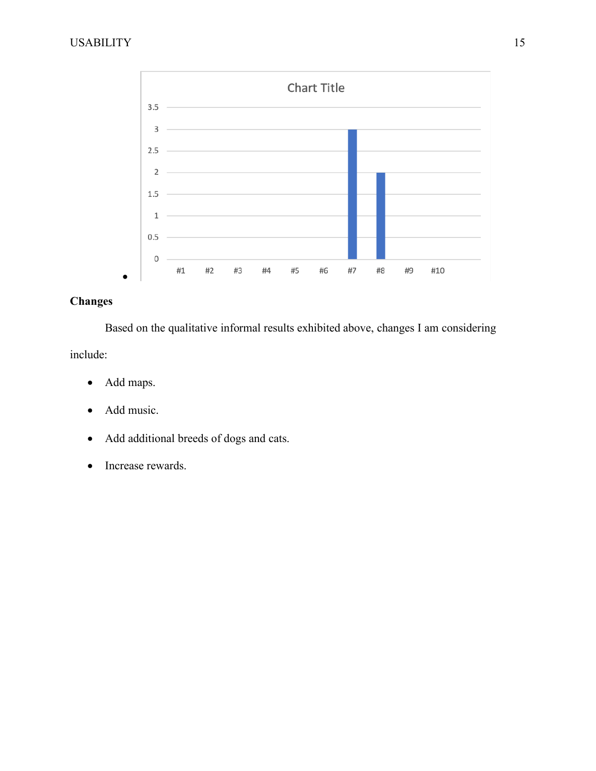

# **Changes**

Based on the qualitative informal results exhibited above, changes I am considering include:

- Add maps.
- Add music.
- Add additional breeds of dogs and cats.
- Increase rewards.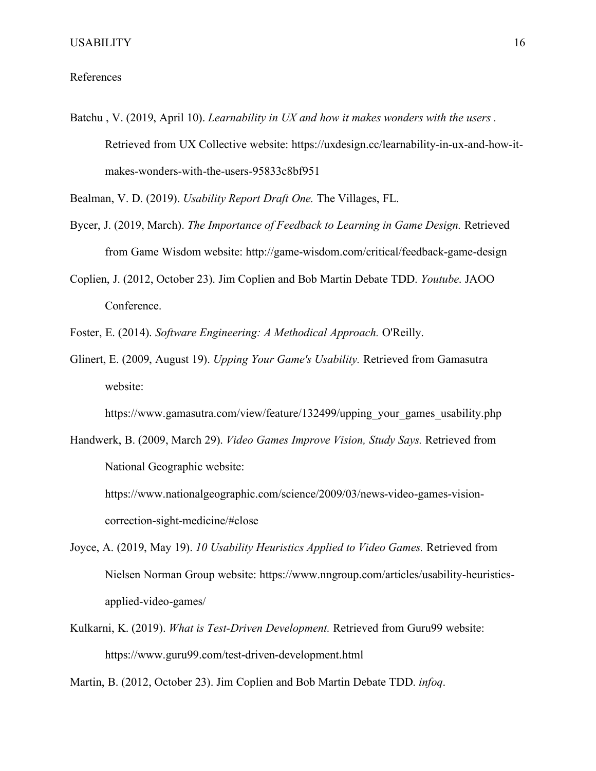#### References

Batchu , V. (2019, April 10). *Learnability in UX and how it makes wonders with the users .* Retrieved from UX Collective website: https://uxdesign.cc/learnability-in-ux-and-how-itmakes-wonders-with-the-users-95833c8bf951

Bealman, V. D. (2019). *Usability Report Draft One.* The Villages, FL.

- Bycer, J. (2019, March). *The Importance of Feedback to Learning in Game Design.* Retrieved from Game Wisdom website: http://game-wisdom.com/critical/feedback-game-design
- Coplien, J. (2012, October 23). Jim Coplien and Bob Martin Debate TDD. *Youtube*. JAOO Conference.
- Foster, E. (2014). *Software Engineering: A Methodical Approach.* O'Reilly.
- Glinert, E. (2009, August 19). *Upping Your Game's Usability.* Retrieved from Gamasutra website:

https://www.gamasutra.com/view/feature/132499/upping\_your\_games\_usability.php

Handwerk, B. (2009, March 29). *Video Games Improve Vision, Study Says.* Retrieved from National Geographic website:

https://www.nationalgeographic.com/science/2009/03/news-video-games-visioncorrection-sight-medicine/#close

- Joyce, A. (2019, May 19). *10 Usability Heuristics Applied to Video Games.* Retrieved from Nielsen Norman Group website: https://www.nngroup.com/articles/usability-heuristicsapplied-video-games/
- Kulkarni, K. (2019). *What is Test-Driven Development.* Retrieved from Guru99 website: https://www.guru99.com/test-driven-development.html

Martin, B. (2012, October 23). Jim Coplien and Bob Martin Debate TDD. *infoq*.